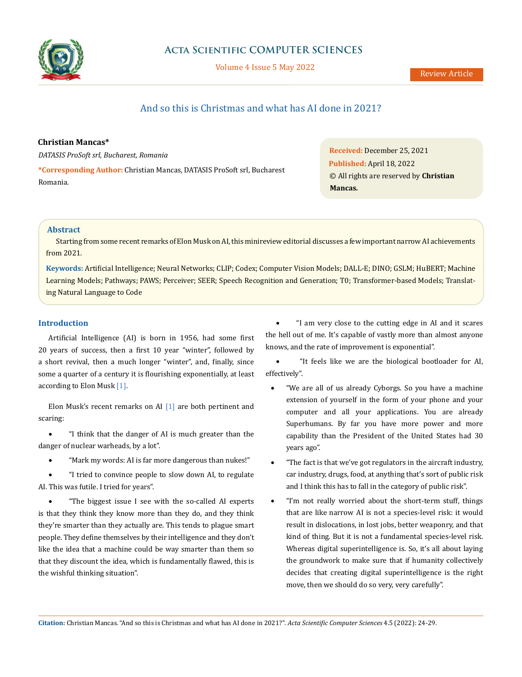

# **Acta Scientific COMPUTER SCIENCES**

Volume 4 Issue 5 May 2022

# And so this is Christmas and what has AI done in 2021?

# **Christian Mancas\***

*DATASIS ProSoft srl, Bucharest, Romania*

**\*Corresponding Author:** Christian Mancas, DATASIS ProSoft srl, Bucharest Romania.

**Received:** December 25, 2021 **Published:** April 18, 2022 © All rights are reserved by **Christian Mancas***.*

## **Abstract**

Starting from some recent remarks of Elon Musk on AI, this minireview editorial discusses a few important narrow AI achievements from 2021.

**Keywords:** Artificial Intelligence; Neural Networks; CLIP; Codex; Computer Vision Models; DALL-E; DINO; GSLM; HuBERT; Machine Learning Models; Pathways; PAWS; Perceiver; SEER; Speech Recognition and Generation; T0; Transformer-based Models; Translating Natural Language to Code

# **Introduction**

Artificial Intelligence (AI) is born in 1956, had some first 20 years of success, then a first 10 year "winter", followed by a short revival, then a much longer "winter", and, finally, since some a quarter of a century it is flourishing exponentially, at least according to Elon Musk [1].

Elon Musk's recent remarks on AI [1] are both pertinent and scaring:

• "I think that the danger of AI is much greater than the danger of nuclear warheads, by a lot".

• "Mark my words: AI is far more dangerous than nukes!"

"I tried to convince people to slow down AI, to regulate AI. This was futile. I tried for years".

"The biggest issue I see with the so-called AI experts is that they think they know more than they do, and they think they're smarter than they actually are. This tends to plague smart people. They define themselves by their intelligence and they don't like the idea that a machine could be way smarter than them so that they discount the idea, which is fundamentally flawed, this is the wishful thinking situation".

"I am very close to the cutting edge in AI and it scares the hell out of me. It's capable of vastly more than almost anyone knows, and the rate of improvement is exponential".

"It feels like we are the biological bootloader for AI, effectively".

- "We are all of us already Cyborgs. So you have a machine extension of yourself in the form of your phone and your computer and all your applications. You are already Superhumans. By far you have more power and more capability than the President of the United States had 30 years ago".
- "The fact is that we've got regulators in the aircraft industry, car industry, drugs, food, at anything that's sort of public risk and I think this has to fall in the category of public risk".
- "I'm not really worried about the short-term stuff, things that are like narrow AI is not a species-level risk: it would result in dislocations, in lost jobs, better weaponry, and that kind of thing. But it is not a fundamental species-level risk. Whereas digital superintelligence is. So, it's all about laying the groundwork to make sure that if humanity collectively decides that creating digital superintelligence is the right move, then we should do so very, very carefully".

**Citation:** Christian Mancas*.* "And so this is Christmas and what has AI done in 2021?". *Acta Scientific Computer Sciences* 4.5 (2022): 24-29.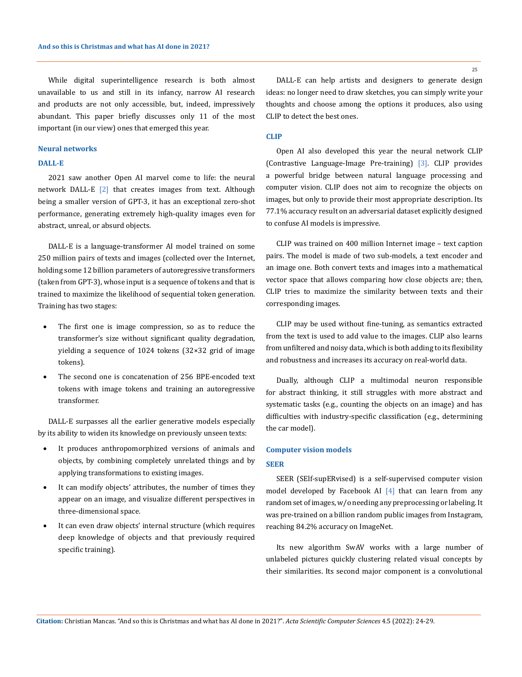While digital superintelligence research is both almost unavailable to us and still in its infancy, narrow AI research and products are not only accessible, but, indeed, impressively abundant. This paper briefly discusses only 11 of the most important (in our view) ones that emerged this year.

#### **Neural networks**

## **DALL-E**

2021 saw another Open AI marvel come to life: the neural network DALL-E [2] that creates images from text. Although being a smaller version of GPT-3, it has an exceptional zero-shot performance, generating extremely high-quality images even for abstract, unreal, or absurd objects.

DALL-E is a language-transformer AI model trained on some 250 million pairs of texts and images (collected over the Internet, holding some 12 billion parameters of autoregressive transformers (taken from GPT-3), whose input is a sequence of tokens and that is trained to maximize the likelihood of sequential token generation. Training has two stages:

- The first one is image compression, so as to reduce the transformer's size without significant quality degradation, yielding a sequence of 1024 tokens (32×32 grid of image tokens).
- The second one is concatenation of 256 BPE-encoded text tokens with image tokens and training an autoregressive transformer.

DALL-E surpasses all the earlier generative models especially by its ability to widen its knowledge on previously unseen texts:

- It produces anthropomorphized versions of animals and objects, by combining completely unrelated things and by applying transformations to existing images.
- It can modify objects' attributes, the number of times they appear on an image, and visualize different perspectives in three-dimensional space.
- It can even draw objects' internal structure (which requires deep knowledge of objects and that previously required specific training).

DALL-E can help artists and designers to generate design ideas: no longer need to draw sketches, you can simply write your thoughts and choose among the options it produces, also using CLIP to detect the best ones.

# **CLIP**

Open AI also developed this year the neural network CLIP (Contrastive Language-Image Pre-training) [3]. CLIP provides a powerful bridge between natural language processing and computer vision. CLIP does not aim to recognize the objects on images, but only to provide their most appropriate description. Its 77.1% accuracy result on an adversarial dataset explicitly designed to confuse AI models is impressive.

CLIP was trained on 400 million Internet image – text caption pairs. The model is made of two sub-models, a text encoder and an image one. Both convert texts and images into a mathematical vector space that allows comparing how close objects are; then, CLIP tries to maximize the similarity between texts and their corresponding images.

CLIP may be used without fine-tuning, as semantics extracted from the text is used to add value to the images. CLIP also learns from unfiltered and noisy data, which is both adding to its flexibility and robustness and increases its accuracy on real-world data.

Dually, although CLIP a multimodal neuron responsible for abstract thinking, it still struggles with more abstract and systematic tasks (e.g., counting the objects on an image) and has difficulties with industry-specific classification (e.g., determining the car model).

## **Computer vision models**

#### **SEER**

SEER (SElf-supERvised) is a self-supervised computer vision model developed by Facebook AI [4] that can learn from any random set of images, w/o needing any preprocessing or labeling. It was pre-trained on a billion random public images from Instagram, reaching 84.2% accuracy on ImageNet.

Its new algorithm SwAV works with a large number of unlabeled pictures quickly clustering related visual concepts by their similarities. Its second major component is a convolutional

25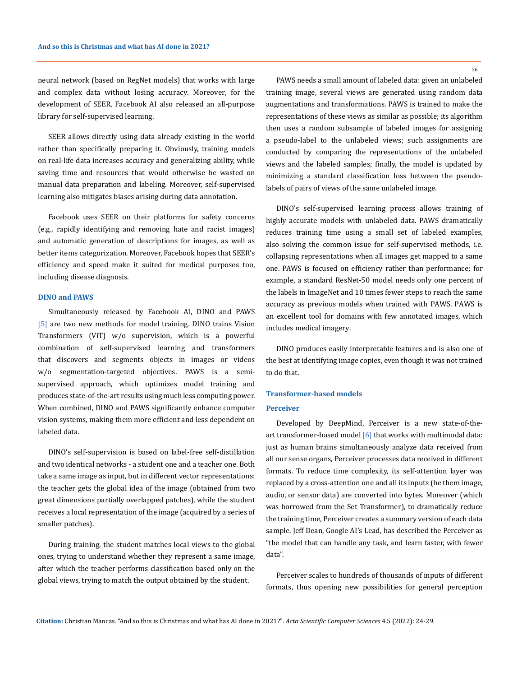neural network (based on RegNet models) that works with large and complex data without losing accuracy. Moreover, for the development of SEER, Facebook AI also released an all-purpose library for self-supervised learning.

SEER allows directly using data already existing in the world rather than specifically preparing it. Obviously, training models on real-life data increases accuracy and generalizing ability, while saving time and resources that would otherwise be wasted on manual data preparation and labeling. Moreover, self-supervised learning also mitigates biases arising during data annotation.

Facebook uses SEER on their platforms for safety concerns (e.g., rapidly identifying and removing hate and racist images) and automatic generation of descriptions for images, as well as better items categorization. Moreover, Facebook hopes that SEER's efficiency and speed make it suited for medical purposes too, including disease diagnosis.

#### **DINO and PAWS**

Simultaneously released by Facebook AI, DINO and PAWS [5] are two new methods for model training. DINO trains Vision Transformers (ViT) w/o supervision, which is a powerful combination of self-supervised learning and transformers that discovers and segments objects in images or videos w/o segmentation-targeted objectives. PAWS is a semisupervised approach, which optimizes model training and produces state-of-the-art results using much less computing power. When combined, DINO and PAWS significantly enhance computer vision systems, making them more efficient and less dependent on labeled data.

DINO's self-supervision is based on label-free self-distillation and two identical networks - a student one and a teacher one. Both take a same image as input, but in different vector representations: the teacher gets the global idea of the image (obtained from two great dimensions partially overlapped patches), while the student receives a local representation of the image (acquired by a series of smaller patches).

During training, the student matches local views to the global ones, trying to understand whether they represent a same image, after which the teacher performs classification based only on the global views, trying to match the output obtained by the student.

26

PAWS needs a small amount of labeled data: given an unlabeled training image, several views are generated using random data augmentations and transformations. PAWS is trained to make the representations of these views as similar as possible; its algorithm then uses a random subsample of labeled images for assigning a pseudo-label to the unlabeled views; such assignments are conducted by comparing the representations of the unlabeled views and the labeled samples; finally, the model is updated by minimizing a standard classification loss between the pseudolabels of pairs of views of the same unlabeled image.

DINO's self-supervised learning process allows training of highly accurate models with unlabeled data. PAWS dramatically reduces training time using a small set of labeled examples, also solving the common issue for self-supervised methods, i.e. collapsing representations when all images get mapped to a same one. PAWS is focused on efficiency rather than performance; for example, a standard ResNet-50 model needs only one percent of the labels in ImageNet and 10 times fewer steps to reach the same accuracy as previous models when trained with PAWS. PAWS is an excellent tool for domains with few annotated images, which includes medical imagery.

DINO produces easily interpretable features and is also one of the best at identifying image copies, even though it was not trained to do that.

#### **Transformer-based models**

## **Perceiver**

Developed by DeepMind, Perceiver is a new state-of-theart transformer-based model  $[6]$  that works with multimodal data: just as human brains simultaneously analyze data received from all our sense organs, Perceiver processes data received in different formats. To reduce time complexity, its self-attention layer was replaced by a cross-attention one and all its inputs (be them image, audio, or sensor data) are converted into bytes. Moreover (which was borrowed from the Set Transformer), to dramatically reduce the training time, Perceiver creates a summary version of each data sample. Jeff Dean, Google AI's Lead, has described the Perceiver as "the model that can handle any task, and learn faster, with fewer data".

Perceiver scales to hundreds of thousands of inputs of different formats, thus opening new possibilities for general perception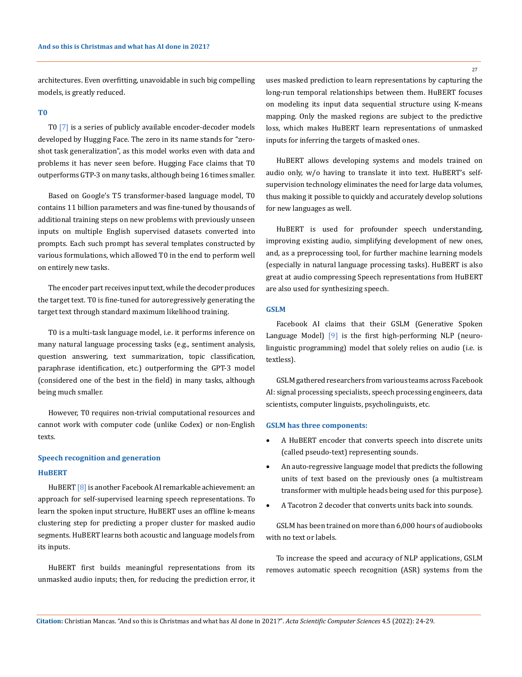architectures. Even overfitting, unavoidable in such big compelling models, is greatly reduced.

## **T0**

T0 [7] is a series of publicly available encoder-decoder models developed by Hugging Face. The zero in its name stands for "zeroshot task generalization", as this model works even with data and problems it has never seen before. Hugging Face claims that T0 outperforms GTP-3 on many tasks, although being 16 times smaller.

Based on Google's T5 transformer-based language model, T0 contains 11 billion parameters and was fine-tuned by thousands of additional training steps on new problems with previously unseen inputs on multiple English supervised datasets converted into prompts. Each such prompt has several templates constructed by various formulations, which allowed T0 in the end to perform well on entirely new tasks.

The encoder part receives input text, while the decoder produces the target text. T0 is fine-tuned for autoregressively generating the target text through standard maximum likelihood training.

T0 is a multi-task language model, i.e. it performs inference on many natural language processing tasks (e.g., sentiment analysis, question answering, text summarization, topic classification, paraphrase identification, etc.) outperforming the GPT-3 model (considered one of the best in the field) in many tasks, although being much smaller.

However, T0 requires non-trivial computational resources and cannot work with computer code (unlike Codex) or non-English texts.

# **Speech recognition and generation HuBERT**

HuBERT [8] is another Facebook AI remarkable achievement: an approach for self-supervised learning speech representations. To learn the spoken input structure, HuBERT uses an offline k-means clustering step for predicting a proper cluster for masked audio segments. HuBERT learns both acoustic and language models from its inputs.

HuBERT first builds meaningful representations from its unmasked audio inputs; then, for reducing the prediction error, it uses masked prediction to learn representations by capturing the long-run temporal relationships between them. HuBERT focuses on modeling its input data sequential structure using K-means mapping. Only the masked regions are subject to the predictive loss, which makes HuBERT learn representations of unmasked inputs for inferring the targets of masked ones.

HuBERT allows developing systems and models trained on audio only, w/o having to translate it into text. HuBERT's selfsupervision technology eliminates the need for large data volumes, thus making it possible to quickly and accurately develop solutions for new languages as well.

HuBERT is used for profounder speech understanding, improving existing audio, simplifying development of new ones, and, as a preprocessing tool, for further machine learning models (especially in natural language processing tasks). HuBERT is also great at audio compressing Speech representations from HuBERT are also used for synthesizing speech.

#### **GSLM**

Facebook AI claims that their GSLM (Generative Spoken Language Model) [9] is the first high-performing NLP (neurolinguistic programming) model that solely relies on audio (i.e. is textless).

GSLM gathered researchers from various teams across Facebook AI: signal processing specialists, speech processing engineers, data scientists, computer linguists, psycholinguists, etc.

#### **GSLM has three components:**

- A HuBERT encoder that converts speech into discrete units (called pseudo-text) representing sounds.
- An auto-regressive language model that predicts the following units of text based on the previously ones (a multistream transformer with multiple heads being used for this purpose).
- A Tacotron 2 decoder that converts units back into sounds.

GSLM has been trained on more than 6,000 hours of audiobooks with no text or labels.

To increase the speed and accuracy of NLP applications, GSLM removes automatic speech recognition (ASR) systems from the

27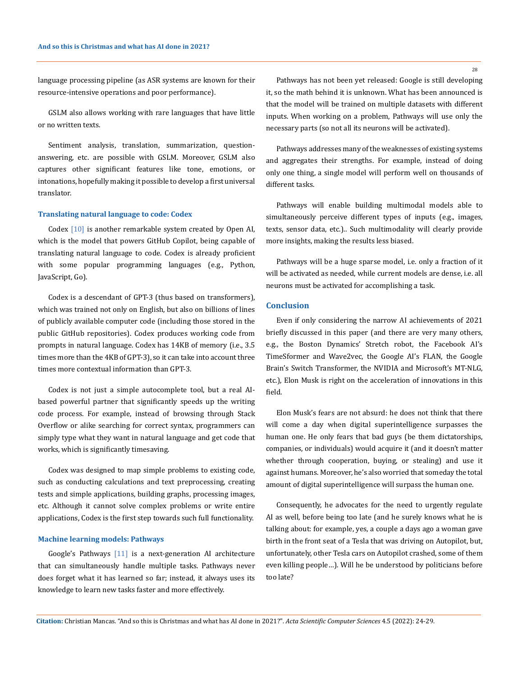language processing pipeline (as ASR systems are known for their resource-intensive operations and poor performance).

GSLM also allows working with rare languages that have little or no written texts.

Sentiment analysis, translation, summarization, questionanswering, etc. are possible with GSLM. Moreover, GSLM also captures other significant features like tone, emotions, or intonations, hopefully making it possible to develop a first universal translator.

#### **Translating natural language to code: Codex**

Codex [10] is another remarkable system created by Open AI, which is the model that powers GitHub Copilot, being capable of translating natural language to code. Codex is already proficient with some popular programming languages (e.g., Python, JavaScript, Go).

Codex is a descendant of GPT-3 (thus based on transformers), which was trained not only on English, but also on billions of lines of publicly available computer code (including those stored in the public GitHub repositories). Codex produces working code from prompts in natural language. Codex has 14KB of memory (i.e., 3.5 times more than the 4KB of GPT-3), so it can take into account three times more contextual information than GPT-3.

Codex is not just a simple autocomplete tool, but a real AIbased powerful partner that significantly speeds up the writing code process. For example, instead of browsing through Stack Overflow or alike searching for correct syntax, programmers can simply type what they want in natural language and get code that works, which is significantly timesaving.

Codex was designed to map simple problems to existing code, such as conducting calculations and text preprocessing, creating tests and simple applications, building graphs, processing images, etc. Although it cannot solve complex problems or write entire applications, Codex is the first step towards such full functionality.

#### **Machine learning models: Pathways**

Google's Pathways [11] is a next-generation AI architecture that can simultaneously handle multiple tasks. Pathways never does forget what it has learned so far; instead, it always uses its knowledge to learn new tasks faster and more effectively.

Pathways has not been yet released: Google is still developing it, so the math behind it is unknown. What has been announced is that the model will be trained on multiple datasets with different inputs. When working on a problem, Pathways will use only the necessary parts (so not all its neurons will be activated).

Pathways addresses many of the weaknesses of existing systems and aggregates their strengths. For example, instead of doing only one thing, a single model will perform well on thousands of different tasks.

Pathways will enable building multimodal models able to simultaneously perceive different types of inputs (e.g., images, texts, sensor data, etc.).. Such multimodality will clearly provide more insights, making the results less biased.

Pathways will be a huge sparse model, i.e. only a fraction of it will be activated as needed, while current models are dense, i.e. all neurons must be activated for accomplishing a task.

### **Conclusion**

Even if only considering the narrow AI achievements of 2021 briefly discussed in this paper (and there are very many others, e.g., the Boston Dynamics' Stretch robot, the Facebook AI's TimeSformer and Wave2vec, the Google AI's FLAN, the Google Brain's Switch Transformer, the NVIDIA and Microsoft's MT-NLG, etc.), Elon Musk is right on the acceleration of innovations in this field.

Elon Musk's fears are not absurd: he does not think that there will come a day when digital superintelligence surpasses the human one. He only fears that bad guys (be them dictatorships, companies, or individuals) would acquire it (and it doesn't matter whether through cooperation, buying, or stealing) and use it against humans. Moreover, he's also worried that someday the total amount of digital superintelligence will surpass the human one.

Consequently, he advocates for the need to urgently regulate AI as well, before being too late (and he surely knows what he is talking about: for example, yes, a couple a days ago a woman gave birth in the front seat of a Tesla that was driving on Autopilot, but, unfortunately, other Tesla cars on Autopilot crashed, some of them even killing people…). Will he be understood by politicians before too late?

28